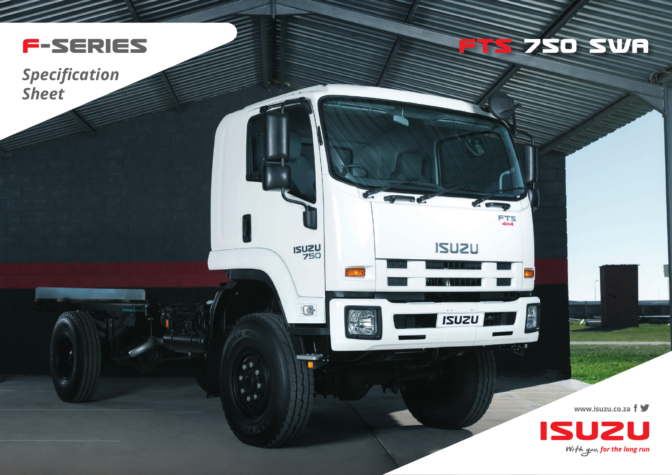

*Specification Sheet*



**ISUZU** 

E.

 $\sim$ 

**ISUZU** 

**ISUZU** 

FTS<br><sub>4X4</sub>

图

**www.isuzu.co.za**